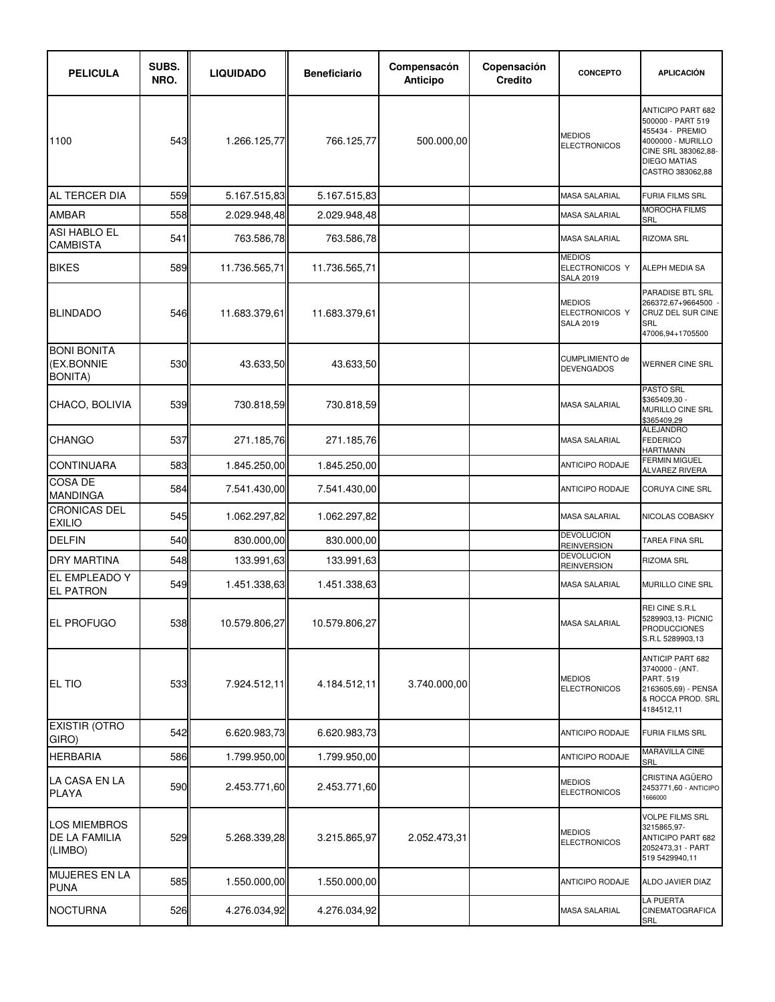| <b>PELICULA</b>                                    | SUBS.<br>NRO. | <b>LIQUIDADO</b> | <b>Beneficiario</b> | Compensacón<br>Anticipo | Copensación<br><b>Credito</b> | <b>CONCEPTO</b>                                     | <b>APLICACIÓN</b>                                                                                                                                       |
|----------------------------------------------------|---------------|------------------|---------------------|-------------------------|-------------------------------|-----------------------------------------------------|---------------------------------------------------------------------------------------------------------------------------------------------------------|
| 1100                                               | 543           | 1.266.125,77     | 766.125,77          | 500.000,00              |                               | <b>MEDIOS</b><br><b>ELECTRONICOS</b>                | <b>ANTICIPO PART 682</b><br>500000 - PART 519<br>455434 - PREMIO<br>4000000 - MURILLO<br>CINE SRL 383062,88-<br><b>DIEGO MATIAS</b><br>CASTRO 383062,88 |
| AL TERCER DIA                                      | 559           | 5.167.515,83     | 5.167.515,83        |                         |                               | MASA SALARIAL                                       | <b>FURIA FILMS SRL</b>                                                                                                                                  |
| <b>AMBAR</b>                                       | 558           | 2.029.948,48     | 2.029.948,48        |                         |                               | <b>MASA SALARIAL</b>                                | <b>MOROCHA FILMS</b><br>SRL                                                                                                                             |
| <b>ASI HABLO EL</b><br><b>CAMBISTA</b>             | 541           | 763.586,78       | 763.586,78          |                         |                               | <b>MASA SALARIAL</b>                                | <b>RIZOMA SRL</b>                                                                                                                                       |
| <b>BIKES</b>                                       | 589           | 11.736.565,71    | 11.736.565,71       |                         |                               | <b>MEDIOS</b><br>ELECTRONICOS Y<br><b>SALA 2019</b> | <b>ALEPH MEDIA SA</b>                                                                                                                                   |
| <b>BLINDADO</b>                                    | 546I          | 11.683.379,61    | 11.683.379,61       |                         |                               | <b>MEDIOS</b><br>ELECTRONICOS Y<br><b>SALA 2019</b> | <b>PARADISE BTL SRL</b><br>266372.67+9664500<br>CRUZ DEL SUR CINE<br><b>SRL</b><br>47006,94+1705500                                                     |
| <b>BONI BONITA</b><br>(EX.BONNIE<br><b>BONITA)</b> | 530           | 43.633,50        | 43.633,50           |                         |                               | <b>CUMPLIMIENTO de</b><br><b>DEVENGADOS</b>         | <b>WERNER CINE SRL</b>                                                                                                                                  |
| CHACO, BOLIVIA                                     | 539           | 730.818,59       | 730.818,59          |                         |                               | <b>MASA SALARIAL</b>                                | <b>PASTO SRL</b><br>\$365409,30 -<br>MURILLO CINE SRL<br>\$365409,29                                                                                    |
| <b>CHANGO</b>                                      | 537           | 271.185,76       | 271.185,76          |                         |                               | MASA SALARIAL                                       | ALEJANDRO<br><b>FEDERICO</b><br><b>HARTMANN</b>                                                                                                         |
| <b>CONTINUARA</b>                                  | 583           | 1.845.250,00     | 1.845.250,00        |                         |                               | <b>ANTICIPO RODAJE</b>                              | <b>FERMIN MIGUEL</b><br><b>ALVAREZ RIVERA</b>                                                                                                           |
| COSA DE<br><b>MANDINGA</b>                         | 584           | 7.541.430,00     | 7.541.430,00        |                         |                               | ANTICIPO RODAJE                                     | <b>CORUYA CINE SRL</b>                                                                                                                                  |
| <b>CRONICAS DEL</b><br><b>EXILIO</b>               | 545           | 1.062.297,82     | 1.062.297,82        |                         |                               | <b>MASA SALARIAL</b>                                | <b>NICOLAS COBASKY</b>                                                                                                                                  |
| <b>DELFIN</b>                                      | 540           | 830.000,00       | 830.000,00          |                         |                               | <b>DEVOLUCION</b><br><b>REINVERSION</b>             | TAREA FINA SRL                                                                                                                                          |
| <b>DRY MARTINA</b>                                 | 548           | 133.991,63       | 133.991,63          |                         |                               | <b>DEVOLUCION</b><br><b>REINVERSION</b>             | <b>RIZOMA SRL</b>                                                                                                                                       |
| <b>EL EMPLEADO Y</b><br><b>EL PATRON</b>           | 549           | 1.451.338,63     | 1.451.338,63        |                         |                               | <b>MASA SALARIAL</b>                                | MURILLO CINE SRL                                                                                                                                        |
| <b>EL PROFUGO</b>                                  | 538           | 10.579.806,27    | 10.579.806,27       |                         |                               | <b>MASA SALARIAL</b>                                | REI CINE S.R.L<br>5289903,13- PICNIC<br><b>PRODUCCIONES</b><br>S.R.L 5289903,13                                                                         |
| <b>EL TIO</b>                                      | 533           | 7.924.512,11     | 4.184.512,11        | 3.740.000,00            |                               | <b>MEDIOS</b><br><b>ELECTRONICOS</b>                | <b>ANTICIP PART 682</b><br>3740000 - (ANT.<br><b>PART. 519</b><br>2163605,69) - PENSA<br>& ROCCA PROD. SRL<br>4184512,11                                |
| <b>EXISTIR (OTRO</b><br>GIRO)                      | 542           | 6.620.983,73     | 6.620.983,73        |                         |                               | <b>ANTICIPO RODAJE</b>                              | <b>FURIA FILMS SRL</b>                                                                                                                                  |
| <b>HERBARIA</b>                                    | 586           | 1.799.950,00     | 1.799.950,00        |                         |                               | ANTICIPO RODAJE                                     | <b>MARAVILLA CINE</b><br>SRL                                                                                                                            |
| LA CASA EN LA<br><b>PLAYA</b>                      | 590           | 2.453.771,60     | 2.453.771,60        |                         |                               | <b>MEDIOS</b><br><b>ELECTRONICOS</b>                | CRISTINA AGÜERO<br>2453771,60 - ANTICIPO<br>1666000                                                                                                     |
| LOS MIEMBROS<br>DE LA FAMILIA<br>(LIMBO)           | 529           | 5.268.339,28     | 3.215.865,97        | 2.052.473,31            |                               | <b>MEDIOS</b><br><b>ELECTRONICOS</b>                | <b>VOLPE FILMS SRL</b><br>3215865,97-<br><b>ANTICIPO PART 682</b><br>2052473,31 - PART<br>519 5429940,11                                                |
| <b>MUJERES EN LA</b><br><b>PUNA</b>                | 585           | 1.550.000,00     | 1.550.000,00        |                         |                               | <b>ANTICIPO RODAJE</b>                              | ALDO JAVIER DIAZ                                                                                                                                        |
| <b>NOCTURNA</b>                                    | 526           | 4.276.034,92     | 4.276.034,92        |                         |                               | MASA SALARIAL                                       | <b>LA PUERTA</b><br><b>CINEMATOGRAFICA</b><br>SRL                                                                                                       |